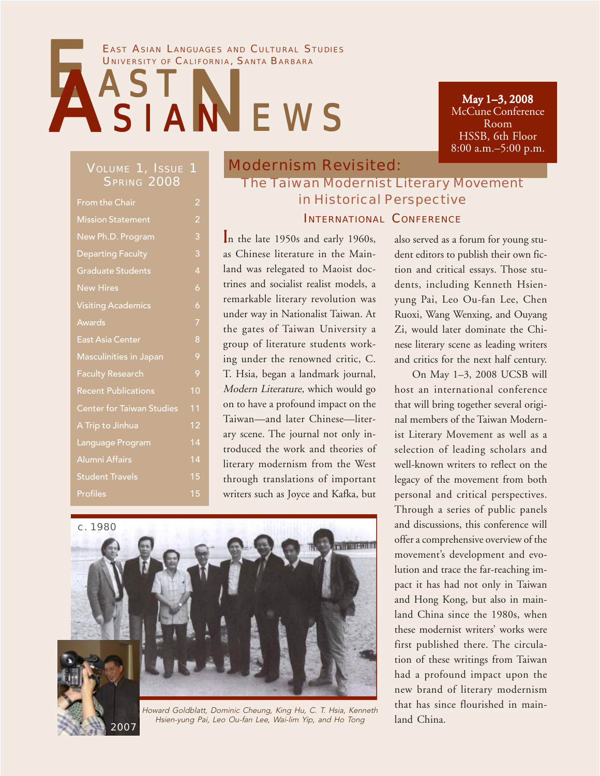#### EAST ASIAN LANGUAGES AND CULTURAL STUDIES UNIVERSITY OF CALIFORNIA, SANTA BARBARA

# **NEWS** UNIVERSITY OF CALIFORN

May 1–3, 2008 McCune Conference Room HSSB, 6th Floor 8:00 a.m.–5:00 p.m.

#### VOLUME 1, ISSUE 1 **SPRING 2008**

| <b>From the Chair</b>            | 2              |
|----------------------------------|----------------|
| <b>Mission Statement</b>         | 2              |
| New Ph.D. Program                | 3              |
| <b>Departing Faculty</b>         | 3              |
| <b>Graduate Students</b>         | $\overline{4}$ |
| <b>New Hires</b>                 | 6              |
| <b>Visiting Academics</b>        | 6              |
| Awards                           | 7              |
| East Asia Center                 | 8              |
| <b>Masculinities in Japan</b>    | 9              |
| <b>Faculty Research</b>          | 9              |
| <b>Recent Publications</b>       | 10             |
| <b>Center for Taiwan Studies</b> | 11             |
| A Trip to Jinhua                 | 12             |
| Language Program                 | 14             |
| Alumni Affairs                   | 14             |
| <b>Student Travels</b>           | 15             |
| <b>Profiles</b>                  | 15             |

2007

### Modernism Revisited: The Taiwan Modernist Literary Movement in Historical Perspective INTERNATIONAL CONFERENCE

In the late 1950s and early 1960s, as Chinese literature in the Mainland was relegated to Maoist doctrines and socialist realist models, a remarkable literary revolution was under way in Nationalist Taiwan. At the gates of Taiwan University a group of literature students working under the renowned critic, C. T. Hsia, began a landmark journal, Modern Literature, which would go on to have a profound impact on the Taiwan—and later Chinese—literary scene. The journal not only introduced the work and theories of literary modernism from the West through translations of important writers such as Joyce and Kafka, but



Howard Goldblatt, Dominic Cheung, King Hu, C. T. Hsia, Kenneth Hsien-yung Pai, Leo Ou-fan Lee, Wai-lim Yip, and Ho Tong

also served as a forum for young student editors to publish their own fiction and critical essays. Those students, including Kenneth Hsienyung Pai, Leo Ou-fan Lee, Chen Ruoxi, Wang Wenxing, and Ouyang Zi, would later dominate the Chinese literary scene as leading writers and critics for the next half century.

On May 1–3, 2008 UCSB will host an international conference that will bring together several original members of the Taiwan Modernist Literary Movement as well as a selection of leading scholars and well-known writers to reflect on the legacy of the movement from both personal and critical perspectives. Through a series of public panels and discussions, this conference will offer a comprehensive overview of the movement's development and evolution and trace the far-reaching impact it has had not only in Taiwan and Hong Kong, but also in mainland China since the 1980s, when these modernist writers' works were first published there. The circulation of these writings from Taiwan had a profound impact upon the new brand of literary modernism that has since flourished in mainland China.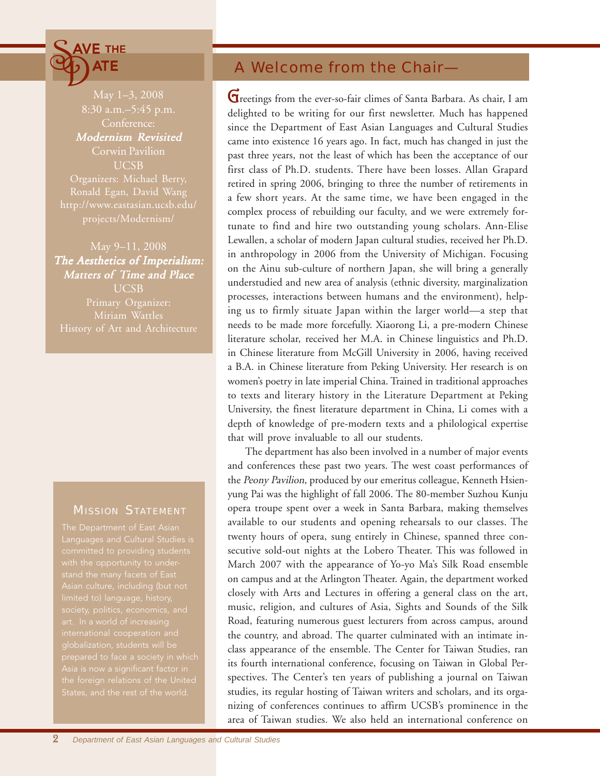## $\widetilde{\Phi}$  $\leq$  AVE THE ATE

May 1–3, 2008 Conference: Modernism Revisited Corwin Pavilion UCSB Organizers: Michael Berry, Ronald Egan, David Wang http://www.eastasian.ucsb.edu/

May 9–11, 2008 The Aesthetics of Imperialism: Matters of Time and Place **UCSB** 

#### **MISSION STATEMENT**

committed to providing students international cooperation and

### A Welcome from the Chair—

complex process of rebuilding our faculty, and we were extremely fortunate to find and hire two outstanding young scholars. Ann-Elise Lewallen, a scholar of modern Japan cultural studies, received her Ph.D. Greetings from the ever-so-fair climes of Santa Barbara. As chair, I am delighted to be writing for our first newsletter. Much has happened since the Department of East Asian Languages and Cultural Studies came into existence 16 years ago. In fact, much has changed in just the past three years, not the least of which has been the acceptance of our first class of Ph.D. students. There have been losses. Allan Grapard retired in spring 2006, bringing to three the number of retirements in a few short years. At the same time, we have been engaged in the in anthropology in 2006 from the University of Michigan. Focusing on the Ainu sub-culture of northern Japan, she will bring a generally understudied and new area of analysis (ethnic diversity, marginalization processes, interactions between humans and the environment), helping us to firmly situate Japan within the larger world—a step that needs to be made more forcefully. Xiaorong Li, a pre-modern Chinese literature scholar, received her M.A. in Chinese linguistics and Ph.D. in Chinese literature from McGill University in 2006, having received a B.A. in Chinese literature from Peking University. Her research is on women's poetry in late imperial China. Trained in traditional approaches to texts and literary history in the Literature Department at Peking University, the finest literature department in China, Li comes with a depth of knowledge of pre-modern texts and a philological expertise that will prove invaluable to all our students.

The department has also been involved in a number of major events and conferences these past two years. The west coast performances of the Peony Pavilion, produced by our emeritus colleague, Kenneth Hsienyung Pai was the highlight of fall 2006. The 80-member Suzhou Kunju opera troupe spent over a week in Santa Barbara, making themselves available to our students and opening rehearsals to our classes. The twenty hours of opera, sung entirely in Chinese, spanned three consecutive sold-out nights at the Lobero Theater. This was followed in March 2007 with the appearance of Yo-yo Ma's Silk Road ensemble on campus and at the Arlington Theater. Again, the department worked closely with Arts and Lectures in offering a general class on the art, music, religion, and cultures of Asia, Sights and Sounds of the Silk Road, featuring numerous guest lecturers from across campus, around the country, and abroad. The quarter culminated with an intimate inclass appearance of the ensemble. The Center for Taiwan Studies, ran its fourth international conference, focusing on Taiwan in Global Perspectives. The Center's ten years of publishing a journal on Taiwan studies, its regular hosting of Taiwan writers and scholars, and its organizing of conferences continues to affirm UCSB's prominence in the area of Taiwan studies. We also held an international conference on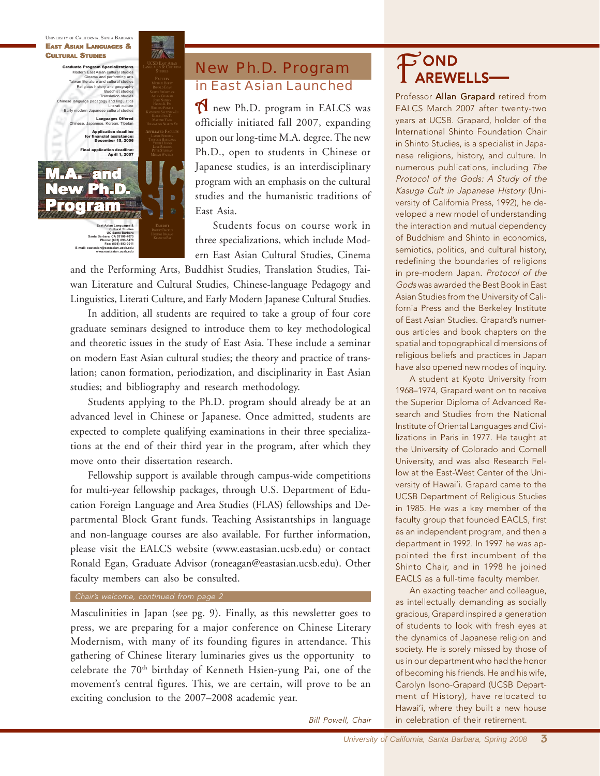

### **New Ph.D. Program** in East Asian Launched

A new Ph.D. program in EALCS was officially initiated fall 2007, expanding upon our long-time M.A. degree. The new Ph.D., open to students in Chinese or Japanese studies, is an interdisciplinary program with an emphasis on the cultural studies and the humanistic traditions of East Asia.

Students focus on course work in three specializations, which include Modern East Asian Cultural Studies, Cinema

and the Performing Arts, Buddhist Studies, Translation Studies, Taiwan Literature and Cultural Studies, Chinese-language Pedagogy and Linguistics, Literati Culture, and Early Modern Japanese Cultural Studies.

In addition, all students are required to take a group of four core graduate seminars designed to introduce them to key methodological and theoretic issues in the study of East Asia. These include a seminar on modern East Asian cultural studies; the theory and practice of translation; canon formation, periodization, and disciplinarity in East Asian studies; and bibliography and research methodology.

Students applying to the Ph.D. program should already be at an advanced level in Chinese or Japanese. Once admitted, students are expected to complete qualifying examinations in their three specializations at the end of their third year in the program, after which they move onto their dissertation research.

Fellowship support is available through campus-wide competitions for multi-year fellowship packages, through U.S. Department of Education Foreign Language and Area Studies (FLAS) fellowships and Departmental Block Grant funds. Teaching Assistantships in language and non-language courses are also available. For further information, please visit the EALCS website (www.eastasian.ucsb.edu) or contact Ronald Egan, Graduate Advisor (roneagan@eastasian.ucsb.edu). Other faculty members can also be consulted.

#### Chair's welcome, continued from page 2

Masculinities in Japan (see pg. 9). Finally, as this newsletter goes to press, we are preparing for a major conference on Chinese Literary Modernism, with many of its founding figures in attendance. This gathering of Chinese literary luminaries gives us the opportunity to celebrate the 70<sup>th</sup> birthday of Kenneth Hsien-yung Pai, one of the movement's central figures. This, we are certain, will prove to be an exciting conclusion to the 2007–2008 academic year.

Bill Powell, Chair

## FOND<br>TAREWELLS

Professor **Allan Grapard** retired from EALCS March 2007 after twenty-two years at UCSB. Grapard, holder of the International Shinto Foundation Chair in Shinto Studies, is a specialist in Japanese religions, history, and culture. In numerous publications, including The Protocol of the Gods: A Study of the Kasuga Cult in Japanese History (University of California Press, 1992), he developed a new model of understanding the interaction and mutual dependency of Buddhism and Shinto in economics, semiotics, politics, and cultural history, redefining the boundaries of religions in pre-modern Japan. Protocol of the Gods was awarded the Best Book in East Asian Studies from the University of California Press and the Berkeley Institute of East Asian Studies. Grapard's numerous articles and book chapters on the spatial and topographical dimensions of religious beliefs and practices in Japan have also opened new modes of inquiry.

A student at Kyoto University from 1968–1974, Grapard went on to receive the Superior Diploma of Advanced Research and Studies from the National Institute of Oriental Languages and Civilizations in Paris in 1977. He taught at the University of Colorado and Cornell University, and was also Research Fellow at the East-West Center of the University of Hawai'i. Grapard came to the UCSB Department of Religious Studies in 1985. He was a key member of the faculty group that founded EACLS, first as an independent program, and then a department in 1992. In 1997 he was appointed the first incumbent of the Shinto Chair, and in 1998 he joined EACLS as a full-time faculty member.

An exacting teacher and colleague, as intellectually demanding as socially gracious, Grapard inspired a generation of students to look with fresh eyes at the dynamics of Japanese religion and society. He is sorely missed by those of us in our department who had the honor of becoming his friends. He and his wife, Carolyn Isono-Grapard (UCSB Department of History), have relocated to Hawai'i, where they built a new house in celebration of their retirement.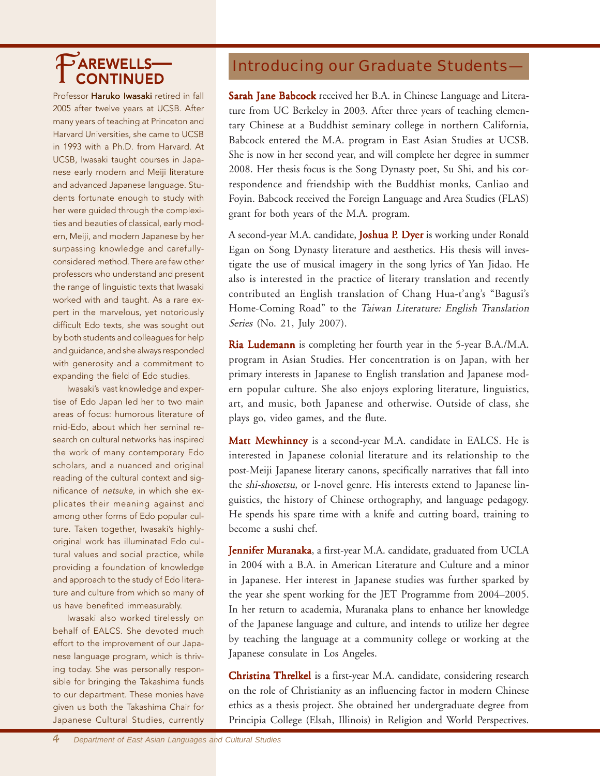Professor Haruko Iwasaki retired in fall 2005 after twelve years at UCSB. After many years of teaching at Princeton and Harvard Universities, she came to UCSB in 1993 with a Ph.D. from Harvard. At UCSB, Iwasaki taught courses in Japanese early modern and Meiji literature and advanced Japanese language. Students fortunate enough to study with her were guided through the complexities and beauties of classical, early modern, Meiji, and modern Japanese by her surpassing knowledge and carefullyconsidered method. There are few other professors who understand and present the range of linguistic texts that Iwasaki worked with and taught. As a rare expert in the marvelous, yet notoriously difficult Edo texts, she was sought out by both students and colleagues for help and guidance, and she always responded with generosity and a commitment to expanding the field of Edo studies.

Iwasaki's vast knowledge and expertise of Edo Japan led her to two main areas of focus: humorous literature of mid-Edo, about which her seminal research on cultural networks has inspired the work of many contemporary Edo scholars, and a nuanced and original reading of the cultural context and significance of netsuke, in which she explicates their meaning against and among other forms of Edo popular culture. Taken together, Iwasaki's highlyoriginal work has illuminated Edo cultural values and social practice, while providing a foundation of knowledge and approach to the study of Edo literature and culture from which so many of us have benefited immeasurably.

Iwasaki also worked tirelessly on behalf of EALCS. She devoted much effort to the improvement of our Japanese language program, which is thriving today. She was personally responsible for bringing the Takashima funds to our department. These monies have given us both the Takashima Chair for Japanese Cultural Studies, currently

## TAREWELLS— Introducing our Graduate Students–

Sarah Jane Babcock received her B.A. in Chinese Language and Literature from UC Berkeley in 2003. After three years of teaching elementary Chinese at a Buddhist seminary college in northern California, Babcock entered the M.A. program in East Asian Studies at UCSB. She is now in her second year, and will complete her degree in summer 2008. Her thesis focus is the Song Dynasty poet, Su Shi, and his correspondence and friendship with the Buddhist monks, Canliao and Foyin. Babcock received the Foreign Language and Area Studies (FLAS) grant for both years of the M.A. program.

A second-year M.A. candidate, **Joshua P. Dyer** is working under Ronald Egan on Song Dynasty literature and aesthetics. His thesis will investigate the use of musical imagery in the song lyrics of Yan Jidao. He also is interested in the practice of literary translation and recently contributed an English translation of Chang Hua-t'ang's "Bagusi's Home-Coming Road" to the Taiwan Literature: English Translation Series (No. 21, July 2007).

Ria Ludemann is completing her fourth year in the 5-year B.A./M.A. program in Asian Studies. Her concentration is on Japan, with her primary interests in Japanese to English translation and Japanese modern popular culture. She also enjoys exploring literature, linguistics, art, and music, both Japanese and otherwise. Outside of class, she plays go, video games, and the flute.

Matt Mewhinney is a second-year M.A. candidate in EALCS. He is interested in Japanese colonial literature and its relationship to the post-Meiji Japanese literary canons, specifically narratives that fall into the shi-shosetsu, or I-novel genre. His interests extend to Japanese linguistics, the history of Chinese orthography, and language pedagogy. He spends his spare time with a knife and cutting board, training to become a sushi chef.

Jennifer Muranaka, a first-year M.A. candidate, graduated from UCLA in 2004 with a B.A. in American Literature and Culture and a minor in Japanese. Her interest in Japanese studies was further sparked by the year she spent working for the JET Programme from 2004–2005. In her return to academia, Muranaka plans to enhance her knowledge of the Japanese language and culture, and intends to utilize her degree by teaching the language at a community college or working at the Japanese consulate in Los Angeles.

**Christina Threlkel** is a first-year M.A. candidate, considering research on the role of Christianity as an influencing factor in modern Chinese ethics as a thesis project. She obtained her undergraduate degree from Principia College (Elsah, Illinois) in Religion and World Perspectives.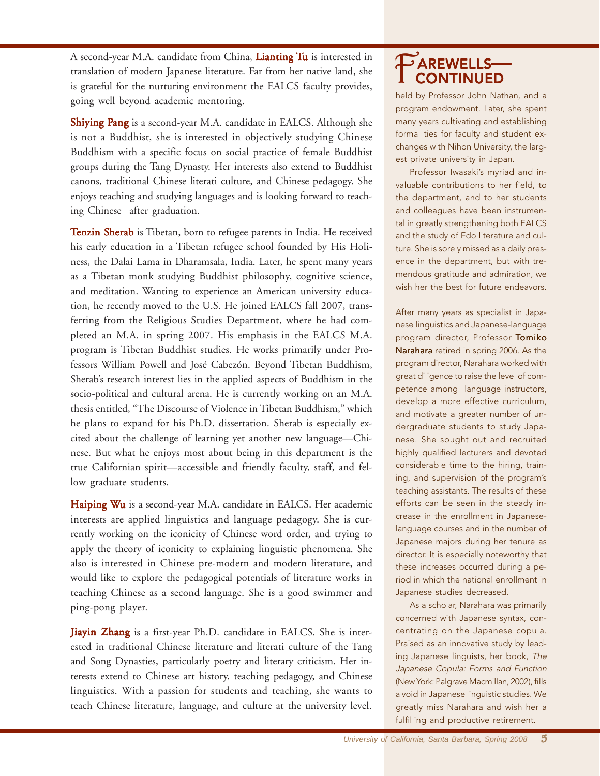A second-year M.A. candidate from China, Lianting Tu is interested in translation of modern Japanese literature. Far from her native land, she is grateful for the nurturing environment the EALCS faculty provides, going well beyond academic mentoring.

Shiying Pang is a second-year M.A. candidate in EALCS. Although she is not a Buddhist, she is interested in objectively studying Chinese Buddhism with a specific focus on social practice of female Buddhist groups during the Tang Dynasty. Her interests also extend to Buddhist canons, traditional Chinese literati culture, and Chinese pedagogy. She enjoys teaching and studying languages and is looking forward to teaching Chinese after graduation.

Tenzin Sherab is Tibetan, born to refugee parents in India. He received his early education in a Tibetan refugee school founded by His Holiness, the Dalai Lama in Dharamsala, India. Later, he spent many years as a Tibetan monk studying Buddhist philosophy, cognitive science, and meditation. Wanting to experience an American university education, he recently moved to the U.S. He joined EALCS fall 2007, transferring from the Religious Studies Department, where he had completed an M.A. in spring 2007. His emphasis in the EALCS M.A. program is Tibetan Buddhist studies. He works primarily under Professors William Powell and José Cabezón. Beyond Tibetan Buddhism, Sherab's research interest lies in the applied aspects of Buddhism in the socio-political and cultural arena. He is currently working on an M.A. thesis entitled, "The Discourse of Violence in Tibetan Buddhism," which he plans to expand for his Ph.D. dissertation. Sherab is especially excited about the challenge of learning yet another new language—Chinese. But what he enjoys most about being in this department is the true Californian spirit—accessible and friendly faculty, staff, and fellow graduate students.

Haiping Wu is a second-year M.A. candidate in EALCS. Her academic interests are applied linguistics and language pedagogy. She is currently working on the iconicity of Chinese word order, and trying to apply the theory of iconicity to explaining linguistic phenomena. She also is interested in Chinese pre-modern and modern literature, and would like to explore the pedagogical potentials of literature works in teaching Chinese as a second language. She is a good swimmer and ping-pong player.

Jiayin Zhang is a first-year Ph.D. candidate in EALCS. She is interested in traditional Chinese literature and literati culture of the Tang and Song Dynasties, particularly poetry and literary criticism. Her interests extend to Chinese art history, teaching pedagogy, and Chinese linguistics. With a passion for students and teaching, she wants to teach Chinese literature, language, and culture at the university level.

## $P$ AREWELLS-

held by Professor John Nathan, and a program endowment. Later, she spent many years cultivating and establishing formal ties for faculty and student exchanges with Nihon University, the largest private university in Japan.

Professor Iwasaki's myriad and invaluable contributions to her field, to the department, and to her students and colleagues have been instrumental in greatly strengthening both EALCS and the study of Edo literature and culture. She is sorely missed as a daily presence in the department, but with tremendous gratitude and admiration, we wish her the best for future endeavors.

After many years as specialist in Japanese linguistics and Japanese-language program director, Professor Tomiko Narahara retired in spring 2006. As the program director, Narahara worked with great diligence to raise the level of competence among language instructors, develop a more effective curriculum, and motivate a greater number of undergraduate students to study Japanese. She sought out and recruited highly qualified lecturers and devoted considerable time to the hiring, training, and supervision of the program's teaching assistants. The results of these efforts can be seen in the steady increase in the enrollment in Japaneselanguage courses and in the number of Japanese majors during her tenure as director. It is especially noteworthy that these increases occurred during a period in which the national enrollment in Japanese studies decreased.

As a scholar, Narahara was primarily concerned with Japanese syntax, concentrating on the Japanese copula. Praised as an innovative study by leading Japanese linguists, her book, The Japanese Copula: Forms and Function (New York: Palgrave Macmillan, 2002), fills a void in Japanese linguistic studies. We greatly miss Narahara and wish her a fulfilling and productive retirement.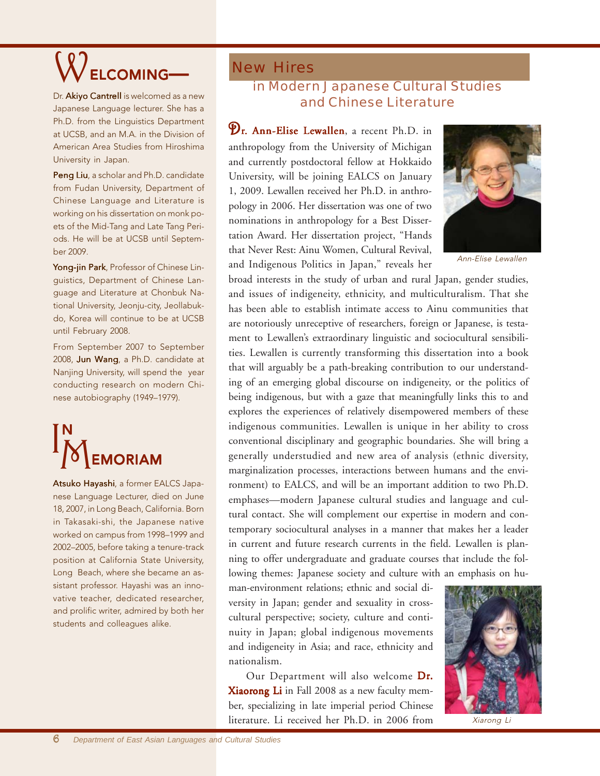

Dr. Akiyo Cantrell is welcomed as a new Japanese Language lecturer. She has a Ph.D. from the Linguistics Department at UCSB, and an M.A. in the Division of American Area Studies from Hiroshima University in Japan.

Peng Liu, a scholar and Ph.D. candidate from Fudan University, Department of Chinese Language and Literature is working on his dissertation on monk poets of the Mid-Tang and Late Tang Periods. He will be at UCSB until September 2009.

Yong-jin Park, Professor of Chinese Linguistics, Department of Chinese Language and Literature at Chonbuk National University, Jeonju-city, Jeollabukdo, Korea will continue to be at UCSB until February 2008.

From September 2007 to September 2008, Jun Wang, a Ph.D. candidate at Nanjing University, will spend the year conducting research on modern Chinese autobiography (1949–1979).



Atsuko Hayashi, a former EALCS Japanese Language Lecturer, died on June 18, 2007, in Long Beach, California. Born in Takasaki-shi, the Japanese native worked on campus from 1998–1999 and 2002–2005, before taking a tenure-track position at California State University, Long Beach, where she became an assistant professor. Hayashi was an innovative teacher, dedicated researcher, and prolific writer, admired by both her students and colleagues alike.

### New Hires in Modern Japanese Cultural Studies and Chinese Literature

Dr. Ann-Elise Lewallen, a recent Ph.D. in anthropology from the University of Michigan and currently postdoctoral fellow at Hokkaido University, will be joining EALCS on January 1, 2009. Lewallen received her Ph.D. in anthropology in 2006. Her dissertation was one of two nominations in anthropology for a Best Dissertation Award. Her dissertation project, "Hands that Never Rest: Ainu Women, Cultural Revival, and Indigenous Politics in Japan," reveals her



Ann-Elise Lewallen

broad interests in the study of urban and rural Japan, gender studies, and issues of indigeneity, ethnicity, and multiculturalism. That she has been able to establish intimate access to Ainu communities that are notoriously unreceptive of researchers, foreign or Japanese, is testament to Lewallen's extraordinary linguistic and sociocultural sensibilities. Lewallen is currently transforming this dissertation into a book that will arguably be a path-breaking contribution to our understanding of an emerging global discourse on indigeneity, or the politics of being indigenous, but with a gaze that meaningfully links this to and explores the experiences of relatively disempowered members of these indigenous communities. Lewallen is unique in her ability to cross conventional disciplinary and geographic boundaries. She will bring a generally understudied and new area of analysis (ethnic diversity, marginalization processes, interactions between humans and the environment) to EALCS, and will be an important addition to two Ph.D. emphases—modern Japanese cultural studies and language and cultural contact. She will complement our expertise in modern and contemporary sociocultural analyses in a manner that makes her a leader in current and future research currents in the field. Lewallen is planning to offer undergraduate and graduate courses that include the following themes: Japanese society and culture with an emphasis on hu-

man-environment relations; ethnic and social diversity in Japan; gender and sexuality in crosscultural perspective; society, culture and continuity in Japan; global indigenous movements and indigeneity in Asia; and race, ethnicity and nationalism.

Our Department will also welcome Dr. **Xiaorong Li** in Fall 2008 as a new faculty member, specializing in late imperial period Chinese literature. Li received her Ph.D. in 2006 from



Xiarong Li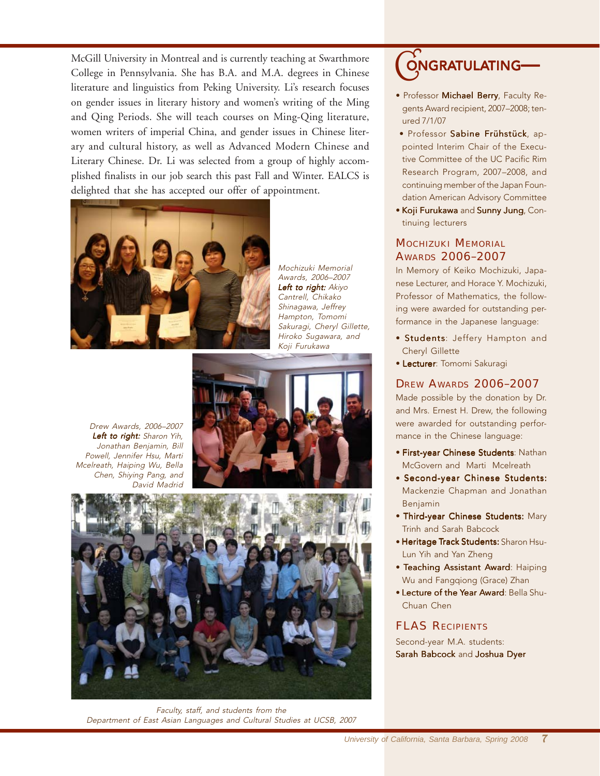McGill University in Montreal and is currently teaching at Swarthmore College in Pennsylvania. She has B.A. and M.A. degrees in Chinese literature and linguistics from Peking University. Li's research focuses on gender issues in literary history and women's writing of the Ming and Qing Periods. She will teach courses on Ming-Qing literature, women writers of imperial China, and gender issues in Chinese literary and cultural history, as well as Advanced Modern Chinese and Literary Chinese. Dr. Li was selected from a group of highly accomplished finalists in our job search this past Fall and Winter. EALCS is delighted that she has accepted our offer of appointment.



Mochizuki Memorial Awards, 2006–2007 Left to right: Akiyo Cantrell, Chikako Shinagawa, Jeffrey Hampton, Tomomi Sakuragi, Cheryl Gillette, Hiroko Sugawara, and Koji Furukawa

Drew Awards, 2006–2007 Left to right: Sharon Yih, Jonathan Benjamin, Bill Powell, Jennifer Hsu, Marti Mcelreath, Haiping Wu, Bella Chen, Shiying Pang, and David Madrid



Faculty, staff, and students from the Department of East Asian Languages and Cultural Studies at UCSB, 2007

## ONGRATULATING-

- Professor Michael Berry, Faculty Regents Award recipient, 2007–2008; tenured 7/1/07
- · Professor Sabine Frühstück, appointed Interim Chair of the Executive Committee of the UC Pacific Rim Research Program, 2007–2008, and continuing member of the Japan Foundation American Advisory Committee
- Koji Furukawa and Sunny Jung, Continuing lecturers

#### MOCHIZUKI MEMORIAL AWARDS 2006–2007

In Memory of Keiko Mochizuki, Japanese Lecturer, and Horace Y. Mochizuki, Professor of Mathematics, the following were awarded for outstanding performance in the Japanese language:

- Students: Jeffery Hampton and Cheryl Gillette
- Lecturer: Tomomi Sakuragi

#### DREW AWARDS 2006–2007

Made possible by the donation by Dr. and Mrs. Ernest H. Drew, the following were awarded for outstanding performance in the Chinese language:

- First-year Chinese Students: Nathan McGovern and Marti Mcelreath
- Second-year Chinese Students: Mackenzie Chapman and Jonathan Benjamin
- Third-year Chinese Students: Mary Trinh and Sarah Babcock
- Heritage Track Students: Sharon Hsu-Lun Yih and Yan Zheng
- Teaching Assistant Award: Haiping Wu and Fangqiong (Grace) Zhan
- Lecture of the Year Award: Bella Shu-Chuan Chen

#### FLAS RECIPIENTS

Second-year M.A. students: Sarah Babcock and Joshua Dyer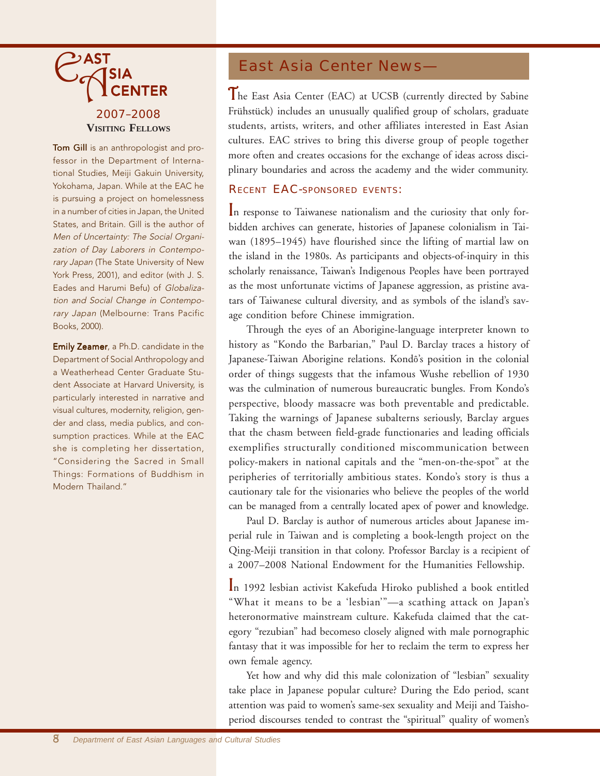

Tom Gill is an anthropologist and professor in the Department of International Studies, Meiji Gakuin University, Yokohama, Japan. While at the EAC he is pursuing a project on homelessness in a number of cities in Japan, the United States, and Britain. Gill is the author of Men of Uncertainty: The Social Organization of Day Laborers in Contemporary Japan (The State University of New York Press, 2001), and editor (with J. S. Eades and Harumi Befu) of Globalization and Social Change in Contemporary Japan (Melbourne: Trans Pacific Books, 2000).

Emily Zeamer, a Ph.D. candidate in the Department of Social Anthropology and a Weatherhead Center Graduate Student Associate at Harvard University, is particularly interested in narrative and visual cultures, modernity, religion, gender and class, media publics, and consumption practices. While at the EAC she is completing her dissertation, "Considering the Sacred in Small Things: Formations of Buddhism in Modern Thailand."

### East Asia Center News—

The East Asia Center (EAC) at UCSB (currently directed by Sabine Frühstück) includes an unusually qualified group of scholars, graduate students, artists, writers, and other affiliates interested in East Asian cultures. EAC strives to bring this diverse group of people together more often and creates occasions for the exchange of ideas across disciplinary boundaries and across the academy and the wider community.

#### RECENT EAC-SPONSORED EVENTS:

In response to Taiwanese nationalism and the curiosity that only forbidden archives can generate, histories of Japanese colonialism in Taiwan (1895–1945) have flourished since the lifting of martial law on the island in the 1980s. As participants and objects-of-inquiry in this scholarly renaissance, Taiwan's Indigenous Peoples have been portrayed as the most unfortunate victims of Japanese aggression, as pristine avatars of Taiwanese cultural diversity, and as symbols of the island's savage condition before Chinese immigration.

Through the eyes of an Aborigine-language interpreter known to history as "Kondo the Barbarian," Paul D. Barclay traces a history of Japanese-Taiwan Aborigine relations. Kondô's position in the colonial order of things suggests that the infamous Wushe rebellion of 1930 was the culmination of numerous bureaucratic bungles. From Kondo's perspective, bloody massacre was both preventable and predictable. Taking the warnings of Japanese subalterns seriously, Barclay argues that the chasm between field-grade functionaries and leading officials exemplifies structurally conditioned miscommunication between policy-makers in national capitals and the "men-on-the-spot" at the peripheries of territorially ambitious states. Kondo's story is thus a cautionary tale for the visionaries who believe the peoples of the world can be managed from a centrally located apex of power and knowledge.

Paul D. Barclay is author of numerous articles about Japanese imperial rule in Taiwan and is completing a book-length project on the Qing-Meiji transition in that colony. Professor Barclay is a recipient of a 2007–2008 National Endowment for the Humanities Fellowship.

In 1992 lesbian activist Kakefuda Hiroko published a book entitled "What it means to be a 'lesbian'"—a scathing attack on Japan's heteronormative mainstream culture. Kakefuda claimed that the category "rezubian" had becomeso closely aligned with male pornographic fantasy that it was impossible for her to reclaim the term to express her own female agency.

Yet how and why did this male colonization of "lesbian" sexuality take place in Japanese popular culture? During the Edo period, scant attention was paid to women's same-sex sexuality and Meiji and Taishoperiod discourses tended to contrast the "spiritual" quality of women's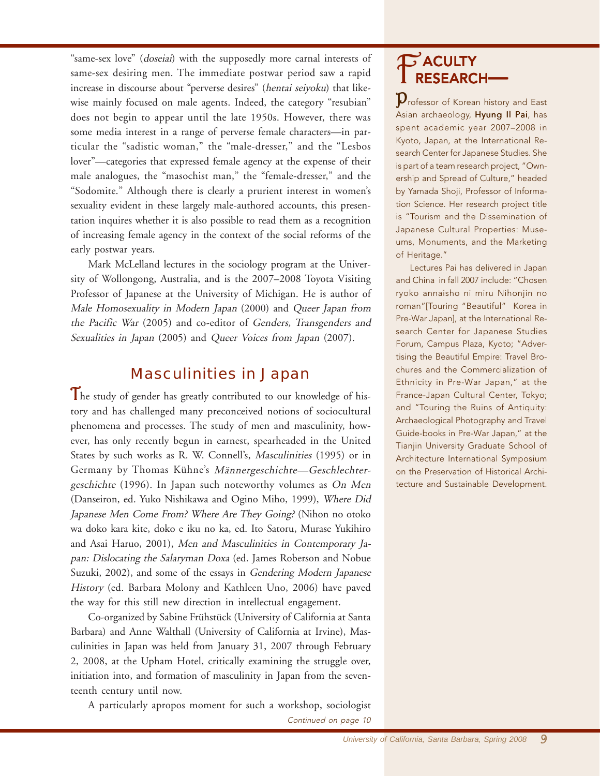"same-sex love" (doseiai) with the supposedly more carnal interests of same-sex desiring men. The immediate postwar period saw a rapid increase in discourse about "perverse desires" (hentai seiyoku) that likewise mainly focused on male agents. Indeed, the category "resubian" does not begin to appear until the late 1950s. However, there was some media interest in a range of perverse female characters—in particular the "sadistic woman," the "male-dresser," and the "Lesbos lover"—categories that expressed female agency at the expense of their male analogues, the "masochist man," the "female-dresser," and the "Sodomite." Although there is clearly a prurient interest in women's sexuality evident in these largely male-authored accounts, this presentation inquires whether it is also possible to read them as a recognition of increasing female agency in the context of the social reforms of the early postwar years.

Mark McLelland lectures in the sociology program at the University of Wollongong, Australia, and is the 2007–2008 Toyota Visiting Professor of Japanese at the University of Michigan. He is author of Male Homosexuality in Modern Japan (2000) and Queer Japan from the Pacific War (2005) and co-editor of Genders, Transgenders and Sexualities in Japan (2005) and Queer Voices from Japan (2007).

### Masculinities in Japan

The study of gender has greatly contributed to our knowledge of history and has challenged many preconceived notions of sociocultural phenomena and processes. The study of men and masculinity, however, has only recently begun in earnest, spearheaded in the United States by such works as R. W. Connell's, Masculinities (1995) or in Germany by Thomas Kühne's Männergeschichte—Geschlechtergeschichte (1996). In Japan such noteworthy volumes as On Men (Danseiron, ed. Yuko Nishikawa and Ogino Miho, 1999), Where Did Japanese Men Come From? Where Are They Going? (Nihon no otoko wa doko kara kite, doko e iku no ka, ed. Ito Satoru, Murase Yukihiro and Asai Haruo, 2001), Men and Masculinities in Contemporary Japan: Dislocating the Salaryman Doxa (ed. James Roberson and Nobue Suzuki, 2002), and some of the essays in Gendering Modern Japanese History (ed. Barbara Molony and Kathleen Uno, 2006) have paved the way for this still new direction in intellectual engagement.

Co-organized by Sabine Frühstück (University of California at Santa Barbara) and Anne Walthall (University of California at Irvine), Masculinities in Japan was held from January 31, 2007 through February 2, 2008, at the Upham Hotel, critically examining the struggle over, initiation into, and formation of masculinity in Japan from the seventeenth century until now.

A particularly apropos moment for such a workshop, sociologist

# $P$  ACULTY<br>RESEARCH-

**P**rofessor of Korean history and East Asian archaeology, Hyung Il Pai, has spent academic year 2007–2008 in Kyoto, Japan, at the International Research Center for Japanese Studies. She is part of a team research project, "Ownership and Spread of Culture," headed by Yamada Shoji, Professor of Information Science. Her research project title is "Tourism and the Dissemination of Japanese Cultural Properties: Museums, Monuments, and the Marketing of Heritage."

Lectures Pai has delivered in Japan and China in fall 2007 include: "Chosen ryoko annaisho ni miru Nihonjin no roman"[Touring "Beautiful" Korea in Pre-War Japan], at the International Research Center for Japanese Studies Forum, Campus Plaza, Kyoto; "Advertising the Beautiful Empire: Travel Brochures and the Commercialization of Ethnicity in Pre-War Japan," at the France-Japan Cultural Center, Tokyo; and "Touring the Ruins of Antiquity: Archaeological Photography and Travel Guide-books in Pre-War Japan," at the Tianjin University Graduate School of Architecture International Symposium on the Preservation of Historical Architecture and Sustainable Development.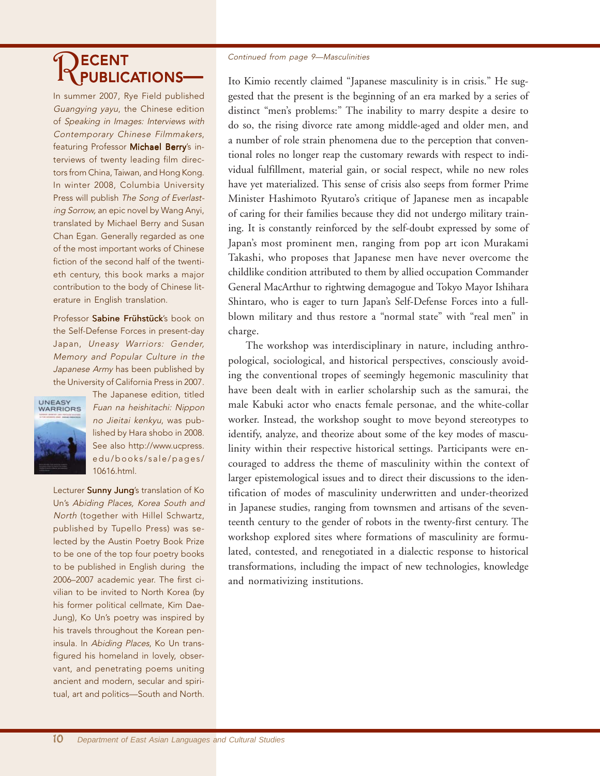# RECENT PUBLICATIONS

In summer 2007, Rye Field published Guangying yayu, the Chinese edition of Speaking in Images: Interviews with Contemporary Chinese Filmmakers, featuring Professor Michael Berry's interviews of twenty leading film directors from China, Taiwan, and Hong Kong. In winter 2008, Columbia University Press will publish The Song of Everlasting Sorrow, an epic novel by Wang Anyi, translated by Michael Berry and Susan Chan Egan. Generally regarded as one of the most important works of Chinese fiction of the second half of the twentieth century, this book marks a major contribution to the body of Chinese literature in English translation.

Professor Sabine Frühstück's book on the Self-Defense Forces in present-day Japan, Uneasy Warriors: Gender, Memory and Popular Culture in the Japanese Army has been published by the University of California Press in 2007.



The Japanese edition, titled Fuan na heishitachi: Nippon no Jieitai kenkyu, was published by Hara shobo in 2008. See also http://www.ucpress. edu/books/sale/pages/ 10616.html.

Lecturer Sunny Jung's translation of Ko Un's Abiding Places, Korea South and North (together with Hillel Schwartz, published by Tupello Press) was selected by the Austin Poetry Book Prize to be one of the top four poetry books to be published in English during the 2006–2007 academic year. The first civilian to be invited to North Korea (by his former political cellmate, Kim Dae-Jung), Ko Un's poetry was inspired by his travels throughout the Korean peninsula. In Abiding Places, Ko Un transfigured his homeland in lovely, observant, and penetrating poems uniting ancient and modern, secular and spiritual, art and politics—South and North.

#### Continued from page 9—Masculinities

Ito Kimio recently claimed "Japanese masculinity is in crisis." He suggested that the present is the beginning of an era marked by a series of distinct "men's problems:" The inability to marry despite a desire to do so, the rising divorce rate among middle-aged and older men, and a number of role strain phenomena due to the perception that conventional roles no longer reap the customary rewards with respect to individual fulfillment, material gain, or social respect, while no new roles have yet materialized. This sense of crisis also seeps from former Prime Minister Hashimoto Ryutaro's critique of Japanese men as incapable of caring for their families because they did not undergo military training. It is constantly reinforced by the self-doubt expressed by some of Japan's most prominent men, ranging from pop art icon Murakami Takashi, who proposes that Japanese men have never overcome the childlike condition attributed to them by allied occupation Commander General MacArthur to rightwing demagogue and Tokyo Mayor Ishihara Shintaro, who is eager to turn Japan's Self-Defense Forces into a fullblown military and thus restore a "normal state" with "real men" in charge.

The workshop was interdisciplinary in nature, including anthropological, sociological, and historical perspectives, consciously avoiding the conventional tropes of seemingly hegemonic masculinity that have been dealt with in earlier scholarship such as the samurai, the male Kabuki actor who enacts female personae, and the white-collar worker. Instead, the workshop sought to move beyond stereotypes to identify, analyze, and theorize about some of the key modes of masculinity within their respective historical settings. Participants were encouraged to address the theme of masculinity within the context of larger epistemological issues and to direct their discussions to the identification of modes of masculinity underwritten and under-theorized in Japanese studies, ranging from townsmen and artisans of the seventeenth century to the gender of robots in the twenty-first century. The workshop explored sites where formations of masculinity are formulated, contested, and renegotiated in a dialectic response to historical transformations, including the impact of new technologies, knowledge and normativizing institutions.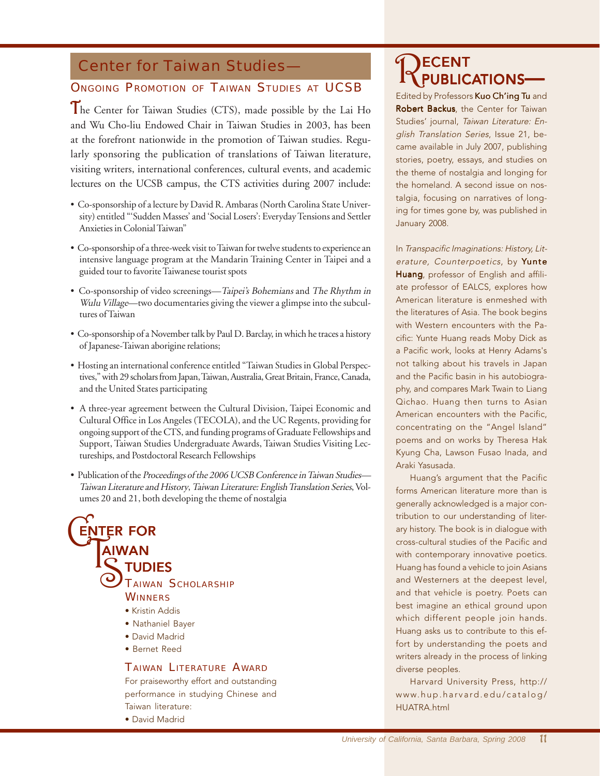### Center for Taiwan Studies—

#### **ONGOING PROMOTION OF TAIWAN STUDIES AT UCSB**

The Center for Taiwan Studies (CTS), made possible by the Lai Ho and Wu Cho-liu Endowed Chair in Taiwan Studies in 2003, has been at the forefront nationwide in the promotion of Taiwan studies. Regularly sponsoring the publication of translations of Taiwan literature, visiting writers, international conferences, cultural events, and academic lectures on the UCSB campus, the CTS activities during 2007 include:

- Co-sponsorship of a lecture by David R. Ambaras (North Carolina State University) entitled "'Sudden Masses' and 'Social Losers': Everyday Tensions and Settler Anxieties in Colonial Taiwan"
- Co-sponsorship of a three-week visit to Taiwan for twelve students to experience an intensive language program at the Mandarin Training Center in Taipei and a guided tour to favorite Taiwanese tourist spots
- Co-sponsorship of video screenings—Taipei's Bohemians and The Rhythm in Wulu Village—two documentaries giving the viewer a glimpse into the subcultures of Taiwan
- Co-sponsorship of a November talk by Paul D. Barclay, in which he traces a history of Japanese-Taiwan aborigine relations;
- Hosting an international conference entitled "Taiwan Studies in Global Perspectives," with 29 scholars from Japan, Taiwan, Australia, Great Britain, France, Canada, and the United States participating
- A three-year agreement between the Cultural Division, Taipei Economic and Cultural Office in Los Angeles (TECOLA), and the UC Regents, providing for ongoing support of the CTS, and funding programs of Graduate Fellowships and Support, Taiwan Studies Undergraduate Awards, Taiwan Studies Visiting Lectureships, and Postdoctoral Research Fellowships
- Publication of the Proceedings of the 2006 UCSB Conference in Taiwan Studies— Taiwan Literature and History, Taiwan Literature: English Translation Series, Volumes 20 and 21, both developing the theme of nostalgia

#### THER TOR **ENTER FOR** AIWAN  $\dddot{\mathcal{S}}$ TAIWAN SCHOLARSHIP **WINNERS** • Kristin Addis

- Nathaniel Bayer
- David Madrid
- Bernet Reed

#### TAIWAN LITERATURE AWARD

For praiseworthy effort and outstanding performance in studying Chinese and Taiwan literature:

• David Madrid

# RECENT PUBLICATIONS

Edited by Professors Kuo Ch'ing Tu and Robert Backus, the Center for Taiwan Studies' journal, Taiwan Literature: English Translation Series, Issue 21, became available in July 2007, publishing stories, poetry, essays, and studies on the theme of nostalgia and longing for the homeland. A second issue on nostalgia, focusing on narratives of longing for times gone by, was published in January 2008.

In Transpacific Imaginations: History, Literature, Counterpoetics, by Yunte Huang, professor of English and affiliate professor of EALCS, explores how American literature is enmeshed with the literatures of Asia. The book begins with Western encounters with the Pacific: Yunte Huang reads Moby Dick as a Pacific work, looks at Henry Adams's not talking about his travels in Japan and the Pacific basin in his autobiography, and compares Mark Twain to Liang Qichao. Huang then turns to Asian American encounters with the Pacific, concentrating on the "Angel Island" poems and on works by Theresa Hak Kyung Cha, Lawson Fusao Inada, and Araki Yasusada.

Huang's argument that the Pacific forms American literature more than is generally acknowledged is a major contribution to our understanding of literary history. The book is in dialogue with cross-cultural studies of the Pacific and with contemporary innovative poetics. Huang has found a vehicle to join Asians and Westerners at the deepest level, and that vehicle is poetry. Poets can best imagine an ethical ground upon which different people join hands. Huang asks us to contribute to this effort by understanding the poets and writers already in the process of linking diverse peoples.

Harvard University Press, http:// www.hup.harvard.edu/catalog/ HUATRA.html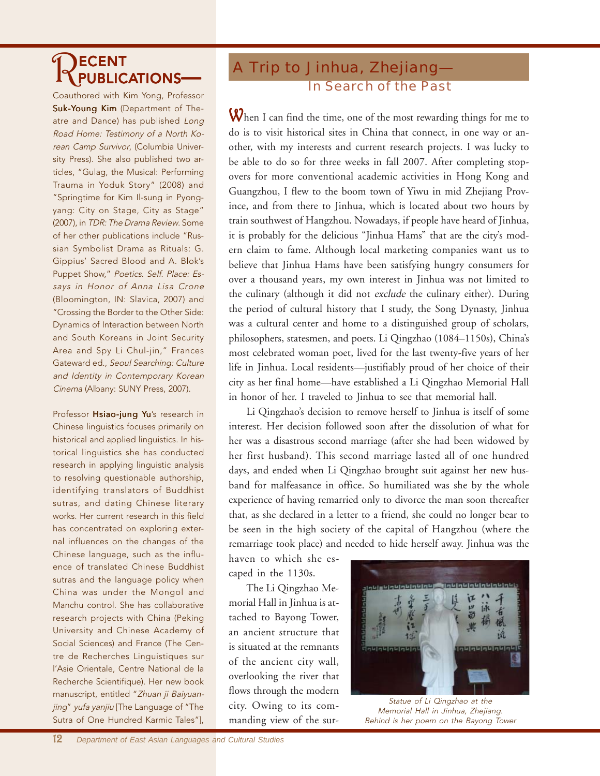# RECENT PUBLICATIONS

Coauthored with Kim Yong, Professor Suk-Young Kim (Department of Theatre and Dance) has published Long Road Home: Testimony of a North Korean Camp Survivor, (Columbia University Press). She also published two articles, "Gulag, the Musical: Performing Trauma in Yoduk Story" (2008) and "Springtime for Kim Il-sung in Pyongyang: City on Stage, City as Stage" (2007), in TDR: The Drama Review. Some of her other publications include "Russian Symbolist Drama as Rituals: G. Gippius' Sacred Blood and A. Blok's Puppet Show," Poetics. Self. Place: Essays in Honor of Anna Lisa Crone (Bloomington, IN: Slavica, 2007) and "Crossing the Border to the Other Side: Dynamics of Interaction between North and South Koreans in Joint Security Area and Spy Li Chul-jin," Frances Gateward ed., Seoul Searching: Culture and Identity in Contemporary Korean Cinema (Albany: SUNY Press, 2007).

Professor Hsiao-jung Yu's research in Chinese linguistics focuses primarily on historical and applied linguistics. In historical linguistics she has conducted research in applying linguistic analysis to resolving questionable authorship, identifying translators of Buddhist sutras, and dating Chinese literary works. Her current research in this field has concentrated on exploring external influences on the changes of the Chinese language, such as the influence of translated Chinese Buddhist sutras and the language policy when China was under the Mongol and Manchu control. She has collaborative research projects with China (Peking University and Chinese Academy of Social Sciences) and France (The Centre de Recherches Linguistiques sur l'Asie Orientale, Centre National de la Recherche Scientifique). Her new book manuscript, entitled "Zhuan ji Baiyuanjing" yufa yanjiu [The Language of "The Sutra of One Hundred Karmic Tales"],

### A Trip to Jinhua, Zhejiang— In Search of the Past

When I can find the time, one of the most rewarding things for me to do is to visit historical sites in China that connect, in one way or another, with my interests and current research projects. I was lucky to be able to do so for three weeks in fall 2007. After completing stopovers for more conventional academic activities in Hong Kong and Guangzhou, I flew to the boom town of Yiwu in mid Zhejiang Province, and from there to Jinhua, which is located about two hours by train southwest of Hangzhou. Nowadays, if people have heard of Jinhua, it is probably for the delicious "Jinhua Hams" that are the city's modern claim to fame. Although local marketing companies want us to believe that Jinhua Hams have been satisfying hungry consumers for over a thousand years, my own interest in Jinhua was not limited to the culinary (although it did not exclude the culinary either). During the period of cultural history that I study, the Song Dynasty, Jinhua was a cultural center and home to a distinguished group of scholars, philosophers, statesmen, and poets. Li Qingzhao (1084–1150s), China's most celebrated woman poet, lived for the last twenty-five years of her life in Jinhua. Local residents—justifiably proud of her choice of their city as her final home—have established a Li Qingzhao Memorial Hall in honor of her. I traveled to Jinhua to see that memorial hall.

Li Qingzhao's decision to remove herself to Jinhua is itself of some interest. Her decision followed soon after the dissolution of what for her was a disastrous second marriage (after she had been widowed by her first husband). This second marriage lasted all of one hundred days, and ended when Li Qingzhao brought suit against her new husband for malfeasance in office. So humiliated was she by the whole experience of having remarried only to divorce the man soon thereafter that, as she declared in a letter to a friend, she could no longer bear to be seen in the high society of the capital of Hangzhou (where the remarriage took place) and needed to hide herself away. Jinhua was the

haven to which she escaped in the 1130s.

The Li Qingzhao Memorial Hall in Jinhua is attached to Bayong Tower, an ancient structure that is situated at the remnants of the ancient city wall, overlooking the river that flows through the modern city. Owing to its commanding view of the sur-



Statue of Li Qingzhao at the Memorial Hall in Jinhua, Zhejiang. Behind is her poem on the Bayong Tower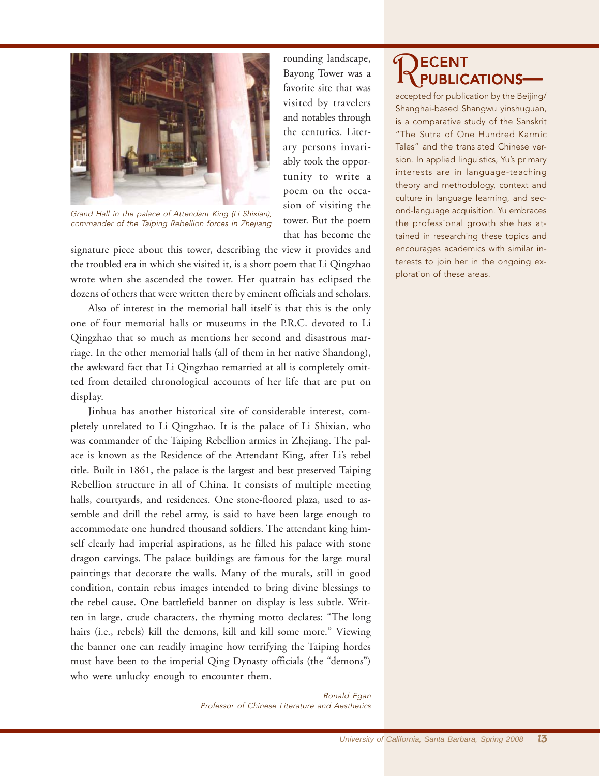

Grand Hall in the palace of Attendant King (Li Shixian), commander of the Taiping Rebellion forces in Zhejiang

signature piece about this tower, describing the view it provides and the troubled era in which she visited it, is a short poem that Li Qingzhao wrote when she ascended the tower. Her quatrain has eclipsed the dozens of others that were written there by eminent officials and scholars.

Also of interest in the memorial hall itself is that this is the only one of four memorial halls or museums in the P.R.C. devoted to Li Qingzhao that so much as mentions her second and disastrous marriage. In the other memorial halls (all of them in her native Shandong), the awkward fact that Li Qingzhao remarried at all is completely omitted from detailed chronological accounts of her life that are put on display.

Jinhua has another historical site of considerable interest, completely unrelated to Li Qingzhao. It is the palace of Li Shixian, who was commander of the Taiping Rebellion armies in Zhejiang. The palace is known as the Residence of the Attendant King, after Li's rebel title. Built in 1861, the palace is the largest and best preserved Taiping Rebellion structure in all of China. It consists of multiple meeting halls, courtyards, and residences. One stone-floored plaza, used to assemble and drill the rebel army, is said to have been large enough to accommodate one hundred thousand soldiers. The attendant king himself clearly had imperial aspirations, as he filled his palace with stone dragon carvings. The palace buildings are famous for the large mural paintings that decorate the walls. Many of the murals, still in good condition, contain rebus images intended to bring divine blessings to the rebel cause. One battlefield banner on display is less subtle. Written in large, crude characters, the rhyming motto declares: "The long hairs (i.e., rebels) kill the demons, kill and kill some more." Viewing the banner one can readily imagine how terrifying the Taiping hordes must have been to the imperial Qing Dynasty officials (the "demons") who were unlucky enough to encounter them.

> Ronald Egan Professor of Chinese Literature and Aesthetics

rounding landscape, Bayong Tower was a favorite site that was visited by travelers and notables through the centuries. Literary persons invariably took the opportunity to write a poem on the occasion of visiting the tower. But the poem that has become the

# RECENT PUBLICATIONS

accepted for publication by the Beijing/ Shanghai-based Shangwu yinshuguan, is a comparative study of the Sanskrit "The Sutra of One Hundred Karmic Tales" and the translated Chinese version. In applied linguistics, Yu's primary interests are in language-teaching theory and methodology, context and culture in language learning, and second-language acquisition. Yu embraces the professional growth she has attained in researching these topics and encourages academics with similar interests to join her in the ongoing exploration of these areas.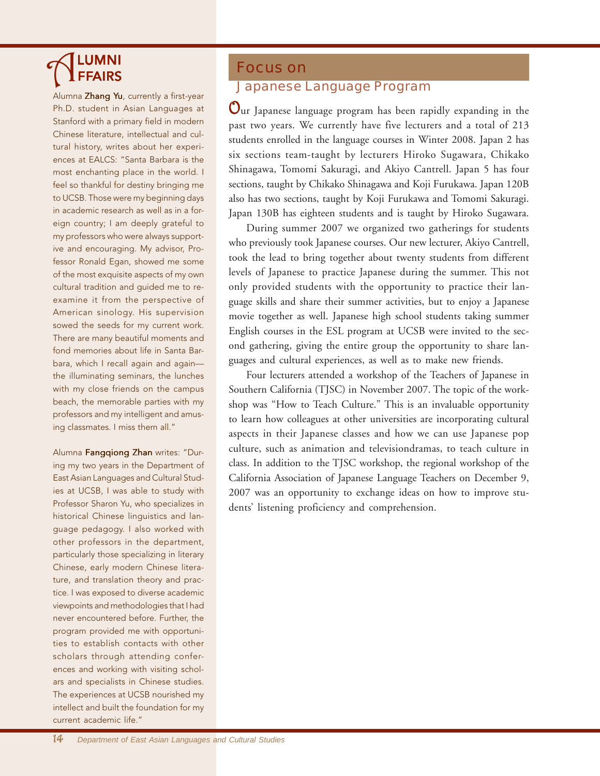# **ALUMNI**

Ph.D. student in Asian Languages at Stanford with a primary field in modern Chinese literature, intellectual and cultural history, writes about her experiences at EALCS: "Santa Barbara is the most enchanting place in the world. I feel so thankful for destiny bringing me to UCSB. Those were my beginning days in academic research as well as in a foreign country; I am deeply grateful to my professors who were always supportive and encouraging. My advisor, Professor Ronald Egan, showed me some of the most exquisite aspects of my own cultural tradition and guided me to reexamine it from the perspective of American sinology. His supervision sowed the seeds for my current work. There are many beautiful moments and fond memories about life in Santa Barbara, which I recall again and again the illuminating seminars, the lunches with my close friends on the campus beach, the memorable parties with my professors and my intelligent and amusing classmates. I miss them all."

Alumna Fangqiong Zhan writes: "During my two years in the Department of East Asian Languages and Cultural Studies at UCSB, I was able to study with Professor Sharon Yu, who specializes in historical Chinese linguistics and language pedagogy. I also worked with other professors in the department, particularly those specializing in literary Chinese, early modern Chinese literature, and translation theory and practice. I was exposed to diverse academic viewpoints and methodologies that I had never encountered before. Further, the program provided me with opportunities to establish contacts with other scholars through attending conferences and working with visiting scholars and specialists in Chinese studies. The experiences at UCSB nourished my intellect and built the foundation for my current academic life."

#### Focus on

## **A**<br>Alumna Zhang Yu, currently a first-year **Japanese Language Program**

Our Japanese language program has been rapidly expanding in the past two years. We currently have five lecturers and a total of 213 students enrolled in the language courses in Winter 2008. Japan 2 has six sections team-taught by lecturers Hiroko Sugawara, Chikako Shinagawa, Tomomi Sakuragi, and Akiyo Cantrell. Japan 5 has four sections, taught by Chikako Shinagawa and Koji Furukawa. Japan 120B also has two sections, taught by Koji Furukawa and Tomomi Sakuragi. Japan 130B has eighteen students and is taught by Hiroko Sugawara.

During summer 2007 we organized two gatherings for students who previously took Japanese courses. Our new lecturer, Akiyo Cantrell, took the lead to bring together about twenty students from different levels of Japanese to practice Japanese during the summer. This not only provided students with the opportunity to practice their language skills and share their summer activities, but to enjoy a Japanese movie together as well. Japanese high school students taking summer English courses in the ESL program at UCSB were invited to the second gathering, giving the entire group the opportunity to share languages and cultural experiences, as well as to make new friends.

Four lecturers attended a workshop of the Teachers of Japanese in Southern California (TJSC) in November 2007. The topic of the workshop was "How to Teach Culture." This is an invaluable opportunity to learn how colleagues at other universities are incorporating cultural aspects in their Japanese classes and how we can use Japanese pop culture, such as animation and televisiondramas, to teach culture in class. In addition to the TJSC workshop, the regional workshop of the California Association of Japanese Language Teachers on December 9, 2007 was an opportunity to exchange ideas on how to improve students' listening proficiency and comprehension.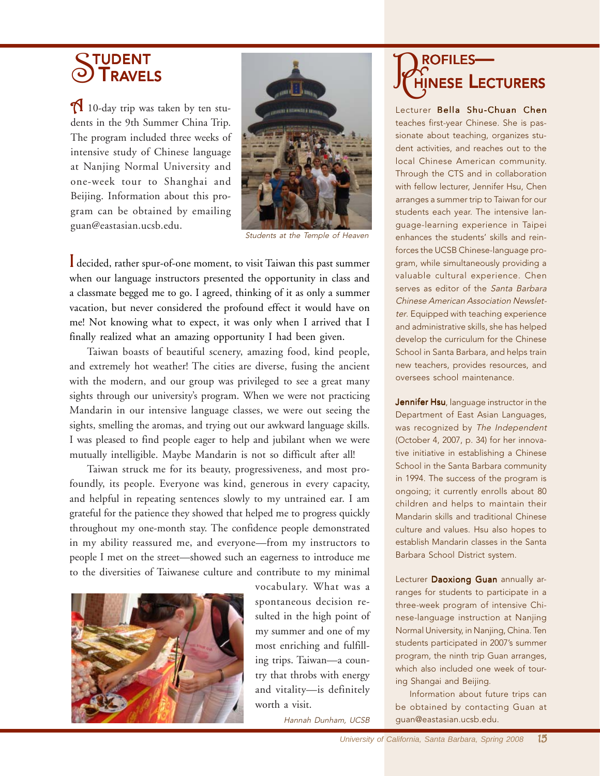## STUDENT<br>**STRAVELS**

 $\bigcap$  10-day trip was taken by ten students in the 9th Summer China Trip. The program included three weeks of intensive study of Chinese language at Nanjing Normal University and one-week tour to Shanghai and Beijing. Information about this program can be obtained by emailing guan@eastasian.ucsb.edu.



Students at the Temple of Heaven

I decided, rather spur-of-one moment, to visit Taiwan this past summer when our language instructors presented the opportunity in class and a classmate begged me to go. I agreed, thinking of it as only a summer vacation, but never considered the profound effect it would have on me! Not knowing what to expect, it was only when I arrived that I finally realized what an amazing opportunity I had been given.

Taiwan boasts of beautiful scenery, amazing food, kind people, and extremely hot weather! The cities are diverse, fusing the ancient with the modern, and our group was privileged to see a great many sights through our university's program. When we were not practicing Mandarin in our intensive language classes, we were out seeing the sights, smelling the aromas, and trying out our awkward language skills. I was pleased to find people eager to help and jubilant when we were mutually intelligible. Maybe Mandarin is not so difficult after all!

Taiwan struck me for its beauty, progressiveness, and most profoundly, its people. Everyone was kind, generous in every capacity, and helpful in repeating sentences slowly to my untrained ear. I am grateful for the patience they showed that helped me to progress quickly throughout my one-month stay. The confidence people demonstrated in my ability reassured me, and everyone—from my instructors to people I met on the street—showed such an eagerness to introduce me to the diversities of Taiwanese culture and contribute to my minimal



vocabulary. What was a spontaneous decision resulted in the high point of my summer and one of my most enriching and fulfilling trips. Taiwan—a country that throbs with energy and vitality—is definitely worth a visit.

Hannah Dunham, UCSB

## **PROFILES—**<br>Jeropiles— CHINESE LECTURERS

Lecturer Bella Shu-Chuan Chen teaches first-year Chinese. She is passionate about teaching, organizes student activities, and reaches out to the local Chinese American community. Through the CTS and in collaboration with fellow lecturer, Jennifer Hsu, Chen arranges a summer trip to Taiwan for our students each year. The intensive language-learning experience in Taipei enhances the students' skills and reinforces the UCSB Chinese-language program, while simultaneously providing a valuable cultural experience. Chen serves as editor of the Santa Barbara Chinese American Association Newsletter. Equipped with teaching experience and administrative skills, she has helped develop the curriculum for the Chinese School in Santa Barbara, and helps train new teachers, provides resources, and oversees school maintenance.

Jennifer Hsu, language instructor in the Department of East Asian Languages, was recognized by The Independent (October 4, 2007, p. 34) for her innovative initiative in establishing a Chinese School in the Santa Barbara community in 1994. The success of the program is ongoing; it currently enrolls about 80 children and helps to maintain their Mandarin skills and traditional Chinese culture and values. Hsu also hopes to establish Mandarin classes in the Santa Barbara School District system.

Lecturer Daoxiong Guan annually arranges for students to participate in a three-week program of intensive Chinese-language instruction at Nanjing Normal University, in Nanjing, China. Ten students participated in 2007's summer program, the ninth trip Guan arranges, which also included one week of touring Shangai and Beijing.

Information about future trips can be obtained by contacting Guan at guan@eastasian.ucsb.edu.